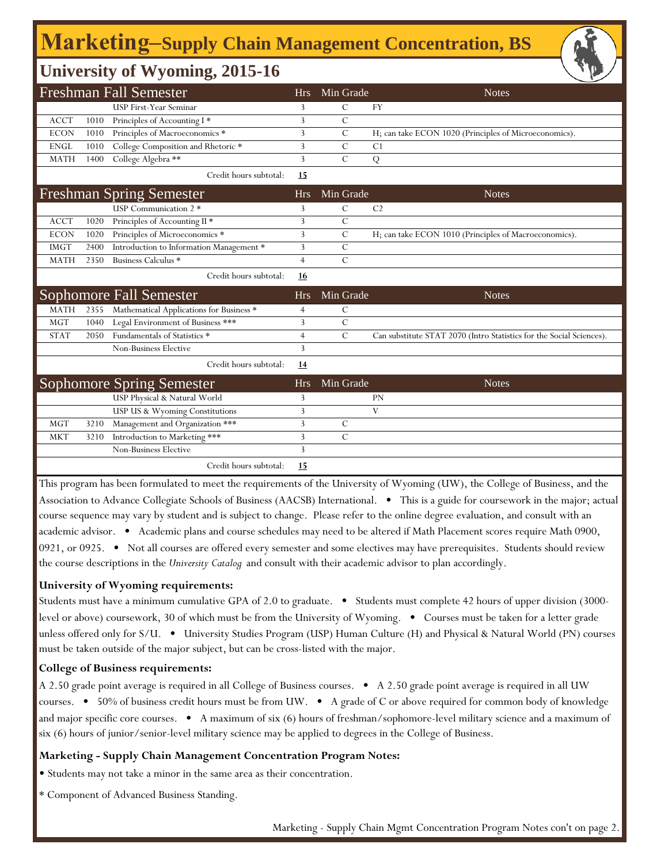# **Marketing‒Supply Chain Management Concentration, BS**

### **University of Wyoming, 2015-16**

|              |      | $\mathbf{C}$                              |                |                | ╰                                                                    |
|--------------|------|-------------------------------------------|----------------|----------------|----------------------------------------------------------------------|
|              |      | <b>Freshman Fall Semester</b>             | <b>Hrs</b>     | Min Grade      | <b>Notes</b>                                                         |
|              |      | USP First-Year Seminar                    | 3              | С              | <b>FY</b>                                                            |
| <b>ACCT</b>  | 1010 | Principles of Accounting I*               | 3              | $\mathcal{C}$  |                                                                      |
| <b>ECON</b>  | 1010 | Principles of Macroeconomics *            | 3              | $\mathcal{C}$  | H; can take ECON 1020 (Principles of Microeconomics).                |
| ${\rm ENGL}$ | 1010 | College Composition and Rhetoric *        | 3              | $\mathcal{C}$  | C <sub>1</sub>                                                       |
| <b>MATH</b>  | 1400 | College Algebra **                        | 3              | $\mathcal{C}$  | Q                                                                    |
|              |      | Credit hours subtotal:                    | 15             |                |                                                                      |
|              |      | <b>Freshman Spring Semester</b>           | <b>Hrs</b>     | Min Grade      | <b>Notes</b>                                                         |
|              |      | USP Communication 2 *                     | 3              | $\mathcal{C}$  | C <sub>2</sub>                                                       |
| <b>ACCT</b>  | 1020 | Principles of Accounting II *             | 3              | $\overline{C}$ |                                                                      |
| <b>ECON</b>  | 1020 | Principles of Microeconomics <sup>*</sup> | 3              | $\mathcal{C}$  | H; can take ECON 1010 (Principles of Macroeconomics).                |
| <b>IMGT</b>  | 2400 | Introduction to Information Management *  | 3              | $\mathcal{C}$  |                                                                      |
| <b>MATH</b>  | 2350 | Business Calculus *                       | $\overline{4}$ | $\mathcal{C}$  |                                                                      |
|              |      | Credit hours subtotal:                    | 16             |                |                                                                      |
|              |      | Sophomore Fall Semester                   | <b>Hrs</b>     | Min Grade      | <b>Notes</b>                                                         |
| <b>MATH</b>  | 2355 | Mathematical Applications for Business *  | 4              | C              |                                                                      |
| <b>MGT</b>   | 1040 | Legal Environment of Business ***         | 3              | $\mathcal{C}$  |                                                                      |
| <b>STAT</b>  | 2050 | Fundamentals of Statistics *              | $\overline{4}$ | $\mathcal{C}$  | Can substitute STAT 2070 (Intro Statistics for the Social Sciences). |
|              |      | Non-Business Elective                     | 3              |                |                                                                      |
|              |      | Credit hours subtotal:                    | 14             |                |                                                                      |
|              |      | <b>Sophomore Spring Semester</b>          | <b>Hrs</b>     | Min Grade      | <b>Notes</b>                                                         |
|              |      | USP Physical & Natural World              | 3              |                | <b>PN</b>                                                            |
|              |      | USP US & Wyoming Constitutions            | 3              |                | V                                                                    |
| <b>MGT</b>   | 3210 | Management and Organization ***           | 3              | $\mathcal{C}$  |                                                                      |
| <b>MKT</b>   | 3210 | Introduction to Marketing ***             | 3              | $\mathcal{C}$  |                                                                      |
|              |      | Non-Business Elective                     | 3              |                |                                                                      |
|              |      | Credit hours subtotal:                    | 15             |                |                                                                      |

This program has been formulated to meet the requirements of the University of Wyoming (UW), the College of Business, and the Association to Advance Collegiate Schools of Business (AACSB) International. • This is a guide for coursework in the major; actual course sequence may vary by student and is subject to change. Please refer to the online degree evaluation, and consult with an academic advisor. • Academic plans and course schedules may need to be altered if Math Placement scores require Math 0900, 0921, or 0925. • Not all courses are offered every semester and some electives may have prerequisites. Students should review the course descriptions in the *University Catalog* and consult with their academic advisor to plan accordingly.

#### **University of Wyoming requirements:**

Students must have a minimum cumulative GPA of 2.0 to graduate. • Students must complete 42 hours of upper division (3000 level or above) coursework, 30 of which must be from the University of Wyoming. • Courses must be taken for a letter grade unless offered only for S/U. • University Studies Program (USP) Human Culture (H) and Physical & Natural World (PN) courses must be taken outside of the major subject, but can be cross-listed with the major.

#### **College of Business requirements:**

A 2.50 grade point average is required in all College of Business courses. • A 2.50 grade point average is required in all UW courses. • 50% of business credit hours must be from UW. • A grade of C or above required for common body of knowledge and major specific core courses. • A maximum of six (6) hours of freshman/sophomore-level military science and a maximum of six (6) hours of junior/senior-level military science may be applied to degrees in the College of Business.

#### **Marketing - Supply Chain Management Concentration Program Notes:**

• Students may not take a minor in the same area as their concentration.

\* Component of Advanced Business Standing.

Marketing - Supply Chain Mgmt Concentration Program Notes con't on page 2.